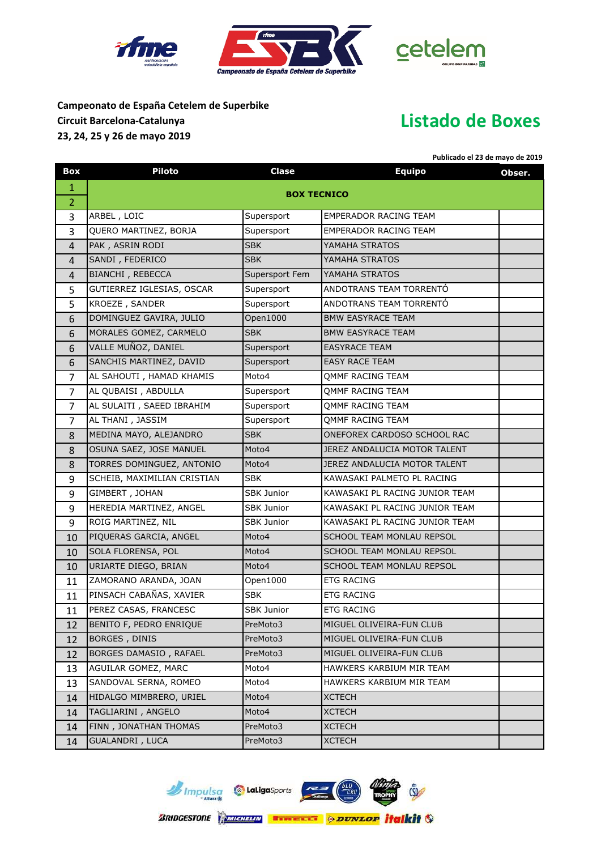





## **Campeonato de España Cetelem de Superbike Circuit Barcelona-Catalunya 23, 24, 25 y 26 de mayo 2019**

## **Listado de Boxes**

**Publicado el 23 de mayo de 2019**

| Box            | <b>Piloto</b>               | Clase             | <b>Equipo</b>                  | Obser. |  |
|----------------|-----------------------------|-------------------|--------------------------------|--------|--|
| 1              |                             |                   |                                |        |  |
| $\overline{2}$ | <b>BOX TECNICO</b>          |                   |                                |        |  |
| 3              | ARBEL, LOIC                 | Supersport        | <b>EMPERADOR RACING TEAM</b>   |        |  |
| $\overline{3}$ | QUERO MARTINEZ, BORJA       | Supersport        | <b>EMPERADOR RACING TEAM</b>   |        |  |
| 4              | PAK, ASRIN RODI             | <b>SBK</b>        | YAMAHA STRATOS                 |        |  |
| $\overline{4}$ | SANDI, FEDERICO             | <b>SBK</b>        | YAMAHA STRATOS                 |        |  |
| 4              | BIANCHI, REBECCA            | Supersport Fem    | YAMAHA STRATOS                 |        |  |
| 5              | GUTIERREZ IGLESIAS, OSCAR   | Supersport        | ANDOTRANS TEAM TORRENTÓ        |        |  |
| 5              | KROEZE, SANDER              | Supersport        | ANDOTRANS TEAM TORRENTÓ        |        |  |
| 6              | DOMINGUEZ GAVIRA, JULIO     | Open1000          | <b>BMW EASYRACE TEAM</b>       |        |  |
| 6              | MORALES GOMEZ, CARMELO      | <b>SBK</b>        | <b>BMW EASYRACE TEAM</b>       |        |  |
| 6              | VALLE MUÑOZ, DANIEL         | Supersport        | <b>EASYRACE TEAM</b>           |        |  |
| 6              | SANCHIS MARTINEZ, DAVID     | Supersport        | <b>EASY RACE TEAM</b>          |        |  |
| $\overline{7}$ | AL SAHOUTI, HAMAD KHAMIS    | Moto4             | OMMF RACING TEAM               |        |  |
| $\overline{7}$ | AL QUBAISI, ABDULLA         | Supersport        | <b>QMMF RACING TEAM</b>        |        |  |
| $\overline{7}$ | AL SULAITI, SAEED IBRAHIM   | Supersport        | <b>QMMF RACING TEAM</b>        |        |  |
| $\overline{7}$ | AL THANI, JASSIM            | Supersport        | <b>QMMF RACING TEAM</b>        |        |  |
| 8              | MEDINA MAYO, ALEJANDRO      | <b>SBK</b>        | ONEFOREX CARDOSO SCHOOL RAC    |        |  |
| 8              | OSUNA SAEZ, JOSE MANUEL     | Moto4             | JEREZ ANDALUCIA MOTOR TALENT   |        |  |
| 8              | TORRES DOMINGUEZ, ANTONIO   | Moto4             | JEREZ ANDALUCIA MOTOR TALENT   |        |  |
| 9              | SCHEIB, MAXIMILIAN CRISTIAN | <b>SBK</b>        | KAWASAKI PALMETO PL RACING     |        |  |
| 9              | GIMBERT, JOHAN              | <b>SBK Junior</b> | KAWASAKI PL RACING JUNIOR TEAM |        |  |
| 9              | HEREDIA MARTINEZ, ANGEL     | SBK Junior        | KAWASAKI PL RACING JUNIOR TEAM |        |  |
| 9              | ROIG MARTINEZ, NIL          | SBK Junior        | KAWASAKI PL RACING JUNIOR TEAM |        |  |
| 10             | PIQUERAS GARCIA, ANGEL      | Moto4             | SCHOOL TEAM MONLAU REPSOL      |        |  |
| 10             | SOLA FLORENSA, POL          | Moto4             | SCHOOL TEAM MONLAU REPSOL      |        |  |
| 10             | URIARTE DIEGO, BRIAN        | Moto4             | SCHOOL TEAM MONLAU REPSOL      |        |  |
| 11             | ZAMORANO ARANDA, JOAN       | Open1000          | <b>ETG RACING</b>              |        |  |
| 11             | PINSACH CABAÑAS, XAVIER     | <b>SBK</b>        | <b>ETG RACING</b>              |        |  |
| 11             | PEREZ CASAS, FRANCESC       | <b>SBK Junior</b> | <b>ETG RACING</b>              |        |  |
| 12             | BENITO F, PEDRO ENRIQUE     | PreMoto3          | MIGUEL OLIVEIRA-FUN CLUB       |        |  |
| 12             | <b>BORGES, DINIS</b>        | PreMoto3          | MIGUEL OLIVEIRA-FUN CLUB       |        |  |
| 12             | BORGES DAMASIO, RAFAEL      | PreMoto3          | MIGUEL OLIVEIRA-FUN CLUB       |        |  |
| 13             | AGUILAR GOMEZ, MARC         | Moto4             | HAWKERS KARBIUM MIR TEAM       |        |  |
| 13             | SANDOVAL SERNA, ROMEO       | Moto4             | HAWKERS KARBIUM MIR TEAM       |        |  |
| 14             | HIDALGO MIMBRERO, URIEL     | Moto4             | <b>XCTECH</b>                  |        |  |
| 14             | TAGLIARINI, ANGELO          | Moto4             | <b>XCTECH</b>                  |        |  |
| 14             | FINN, JONATHAN THOMAS       | PreMoto3          | <b>XCTECH</b>                  |        |  |
| 14             | <b>GUALANDRI</b> , LUCA     | PreMoto3          | <b>XCTECH</b>                  |        |  |

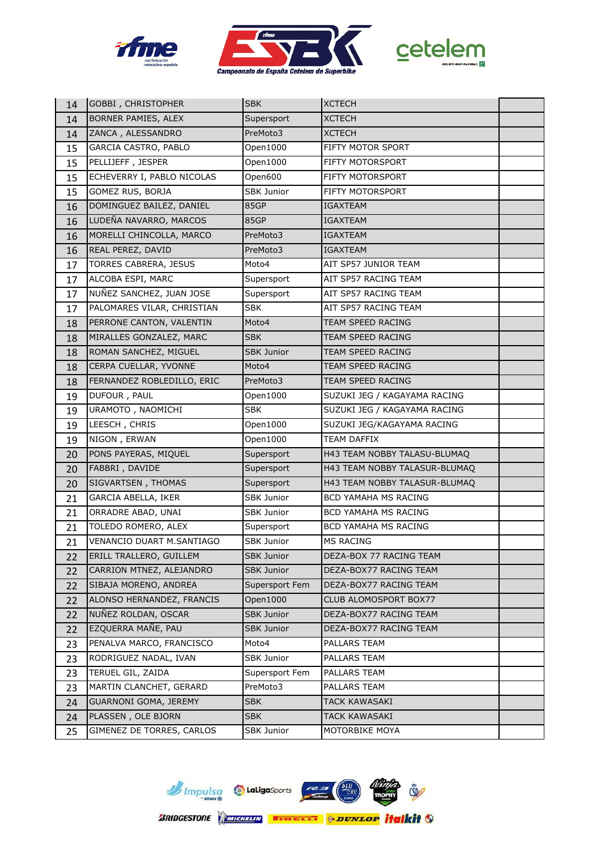





| 14 | <b>GOBBI</b> , CHRISTOPHER       | <b>SBK</b>        | <b>XCTECH</b>                 |  |
|----|----------------------------------|-------------------|-------------------------------|--|
| 14 | BORNER PAMIES, ALEX              | Supersport        | <b>XCTECH</b>                 |  |
| 14 | ZANCA, ALESSANDRO                | PreMoto3          | <b>XCTECH</b>                 |  |
| 15 | GARCIA CASTRO, PABLO             | Open1000          | FIFTY MOTOR SPORT             |  |
| 15 | PELLIJEFF, JESPER                | Open1000          | FIFTY MOTORSPORT              |  |
| 15 | ECHEVERRY I, PABLO NICOLAS       | Open600           | FIFTY MOTORSPORT              |  |
| 15 | GOMEZ RUS, BORJA                 | <b>SBK Junior</b> | FIFTY MOTORSPORT              |  |
| 16 | DOMINGUEZ BAILEZ, DANIEL         | 85GP              | <b>IGAXTEAM</b>               |  |
| 16 | LUDEÑA NAVARRO, MARCOS           | 85GP              | IGAXTEAM                      |  |
| 16 | MORELLI CHINCOLLA, MARCO         | PreMoto3          | <b>IGAXTEAM</b>               |  |
| 16 | REAL PEREZ, DAVID                | PreMoto3          | IGAXTEAM                      |  |
| 17 | TORRES CABRERA, JESUS            | Moto4             | AIT SP57 JUNIOR TEAM          |  |
| 17 | ALCOBA ESPI, MARC                | Supersport        | AIT SP57 RACING TEAM          |  |
| 17 | NUÑEZ SANCHEZ, JUAN JOSE         | Supersport        | AIT SP57 RACING TEAM          |  |
| 17 | PALOMARES VILAR, CHRISTIAN       | <b>SBK</b>        | AIT SP57 RACING TEAM          |  |
| 18 | PERRONE CANTON, VALENTIN         | Moto4             | TEAM SPEED RACING             |  |
| 18 | MIRALLES GONZALEZ, MARC          | <b>SBK</b>        | TEAM SPEED RACING             |  |
| 18 | ROMAN SANCHEZ, MIGUEL            | <b>SBK Junior</b> | TEAM SPEED RACING             |  |
| 18 | CERPA CUELLAR, YVONNE            | Moto4             | TEAM SPEED RACING             |  |
| 18 | FERNANDEZ ROBLEDILLO, ERIC       | PreMoto3          | TEAM SPEED RACING             |  |
| 19 | DUFOUR, PAUL                     | Open1000          | SUZUKI JEG / KAGAYAMA RACING  |  |
| 19 | URAMOTO, NAOMICHI                | <b>SBK</b>        | SUZUKI JEG / KAGAYAMA RACING  |  |
| 19 | LEESCH, CHRIS                    | Open1000          | SUZUKI JEG/KAGAYAMA RACING    |  |
| 19 | NIGON, ERWAN                     | Open1000          | <b>TEAM DAFFIX</b>            |  |
| 20 | PONS PAYERAS, MIQUEL             | Supersport        | H43 TEAM NOBBY TALASU-BLUMAQ  |  |
| 20 | FABBRI, DAVIDE                   | Supersport        | H43 TEAM NOBBY TALASUR-BLUMAQ |  |
| 20 | SIGVARTSEN, THOMAS               | Supersport        | H43 TEAM NOBBY TALASUR-BLUMAQ |  |
| 21 | GARCIA ABELLA, IKER              | <b>SBK Junior</b> | BCD YAMAHA MS RACING          |  |
| 21 | ORRADRE ABAD, UNAI               | <b>SBK Junior</b> | BCD YAMAHA MS RACING          |  |
| 21 | TOLEDO ROMERO, ALEX              | Supersport        | BCD YAMAHA MS RACING          |  |
| 21 | <b>VENANCIO DUART M.SANTIAGO</b> | SBK Junior        | MS RACING                     |  |
| 22 | ERILL TRALLERO, GUILLEM          | <b>SBK Junior</b> | DEZA-BOX 77 RACING TEAM       |  |
| 22 | CARRION MTNEZ, ALEJANDRO         | <b>SBK Junior</b> | DEZA-BOX77 RACING TEAM        |  |
| 22 | SIBAJA MORENO, ANDREA            | Supersport Fem    | DEZA-BOX77 RACING TEAM        |  |
| 22 | ALONSO HERNANDEZ, FRANCIS        | Open1000          | CLUB ALOMOSPORT BOX77         |  |
| 22 | NUÑEZ ROLDAN, OSCAR              | <b>SBK Junior</b> | DEZA-BOX77 RACING TEAM        |  |
| 22 | EZQUERRA MAÑE, PAU               | <b>SBK Junior</b> | DEZA-BOX77 RACING TEAM        |  |
| 23 | PENALVA MARCO, FRANCISCO         | Moto4             | PALLARS TEAM                  |  |
| 23 | RODRIGUEZ NADAL, IVAN            | <b>SBK Junior</b> | PALLARS TEAM                  |  |
| 23 | TERUEL GIL, ZAIDA                | Supersport Fem    | PALLARS TEAM                  |  |
| 23 | MARTIN CLANCHET, GERARD          | PreMoto3          | PALLARS TEAM                  |  |
| 24 | GUARNONI GOMA, JEREMY            | <b>SBK</b>        | <b>TACK KAWASAKI</b>          |  |
| 24 | PLASSEN, OLE BJORN               | <b>SBK</b>        | <b>TACK KAWASAKI</b>          |  |
| 25 | GIMENEZ DE TORRES, CARLOS        | SBK Junior        | MOTORBIKE MOYA                |  |

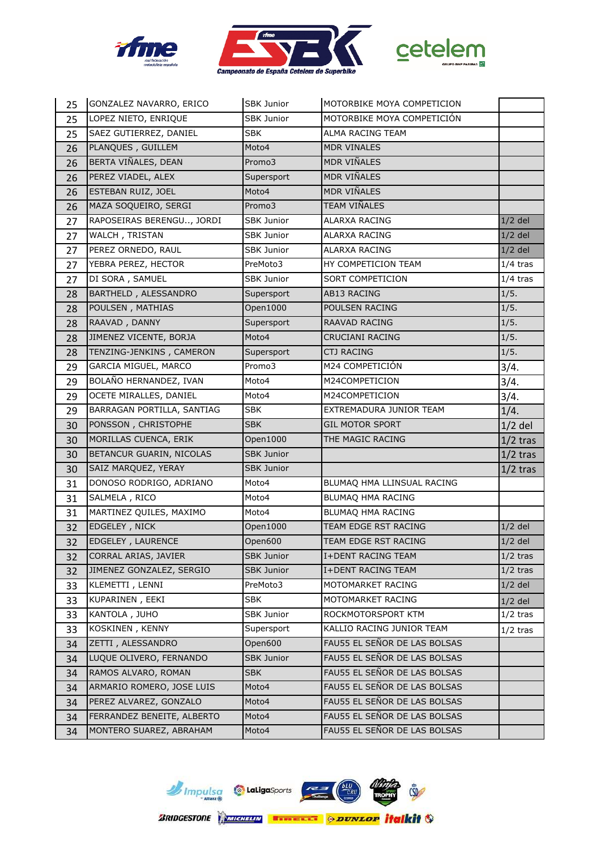





| 25 | GONZALEZ NAVARRO, ERICO    | <b>SBK Junior</b> | MOTORBIKE MOYA COMPETICION   |                       |
|----|----------------------------|-------------------|------------------------------|-----------------------|
| 25 | LOPEZ NIETO, ENRIQUE       | <b>SBK Junior</b> | MOTORBIKE MOYA COMPETICIÓN   |                       |
| 25 | SAEZ GUTIERREZ, DANIEL     | <b>SBK</b>        | ALMA RACING TEAM             |                       |
| 26 | PLANQUES, GUILLEM          | Moto4             | <b>MDR VINALES</b>           |                       |
| 26 | BERTA VIÑALES, DEAN        | Promo3            | MDR VIÑALES                  |                       |
| 26 | PEREZ VIADEL, ALEX         | Supersport        | MDR VIÑALES                  |                       |
| 26 | ESTEBAN RUIZ, JOEL         | Moto4             | <b>MDR VIÑALES</b>           |                       |
| 26 | MAZA SOQUEIRO, SERGI       | Promo3            | TEAM VIÑALES                 |                       |
| 27 | RAPOSEIRAS BERENGU, JORDI  | SBK Junior        | ALARXA RACING                | $1/2$ del             |
| 27 | WALCH, TRISTAN             | SBK Junior        | <b>ALARXA RACING</b>         | $1/2$ del             |
| 27 | PEREZ ORNEDO, RAUL         | <b>SBK Junior</b> | ALARXA RACING                | $1/2$ del             |
| 27 | YEBRA PEREZ, HECTOR        | PreMoto3          | HY COMPETICION TEAM          | $\overline{1}/4$ tras |
| 27 | DI SORA, SAMUEL            | <b>SBK Junior</b> | <b>SORT COMPETICION</b>      | $1/4$ tras            |
| 28 | BARTHELD, ALESSANDRO       | Supersport        | AB13 RACING                  | 1/5.                  |
| 28 | POULSEN, MATHIAS           | Open1000          | POULSEN RACING               | 1/5.                  |
| 28 | RAAVAD, DANNY              | Supersport        | RAAVAD RACING                | 1/5.                  |
| 28 | JIMENEZ VICENTE, BORJA     | Moto4             | CRUCIANI RACING              | 1/5.                  |
| 28 | TENZING-JENKINS, CAMERON   | Supersport        | <b>CTJ RACING</b>            | 1/5.                  |
| 29 | GARCIA MIGUEL, MARCO       | Promo3            | M24 COMPETICIÓN              | 3/4.                  |
| 29 | BOLAÑO HERNANDEZ, IVAN     | Moto4             | M24COMPETICION               | 3/4.                  |
| 29 | OCETE MIRALLES, DANIEL     | Moto4             | M24COMPETICION               | 3/4.                  |
| 29 | BARRAGAN PORTILLA, SANTIAG | <b>SBK</b>        | EXTREMADURA JUNIOR TEAM      | 1/4.                  |
| 30 | PONSSON, CHRISTOPHE        | <b>SBK</b>        | <b>GIL MOTOR SPORT</b>       | $1/2$ del             |
| 30 | MORILLAS CUENCA, ERIK      | Open1000          | THE MAGIC RACING             | $1/2$ tras            |
| 30 | BETANCUR GUARIN, NICOLAS   | <b>SBK Junior</b> |                              | $1/2$ tras            |
| 30 | SAIZ MARQUEZ, YERAY        | <b>SBK Junior</b> |                              | $1/2$ tras            |
| 31 | DONOSO RODRIGO, ADRIANO    | Moto4             | BLUMAQ HMA LLINSUAL RACING   |                       |
| 31 | SALMELA, RICO              | Moto4             | BLUMAQ HMA RACING            |                       |
| 31 | MARTINEZ QUILES, MAXIMO    | Moto4             | BLUMAQ HMA RACING            |                       |
| 32 | EDGELEY, NICK              | Open1000          | TEAM EDGE RST RACING         | $1/2$ del             |
| 32 | EDGELEY, LAURENCE          | Open600           | TEAM EDGE RST RACING         | $1/2$ del             |
| 32 | CORRAL ARIAS, JAVIER       | <b>SBK Junior</b> | <b>I+DENT RACING TEAM</b>    | $1/2$ tras            |
| 32 | JIMENEZ GONZALEZ, SERGIO   | <b>SBK Junior</b> | <b>I+DENT RACING TEAM</b>    | $1/2$ tras            |
| 33 | KLEMETTI, LENNI            | PreMoto3          | MOTOMARKET RACING            | $1/2$ del             |
| 33 | KUPARINEN, EEKI            | <b>SBK</b>        | MOTOMARKET RACING            | $1/2$ del             |
| 33 | KANTOLA, JUHO              | SBK Junior        | ROCKMOTORSPORT KTM           | $1/2$ tras            |
| 33 | KOSKINEN, KENNY            | Supersport        | KALLIO RACING JUNIOR TEAM    | $1/2$ tras            |
| 34 | ZETTI, ALESSANDRO          | Open600           | FAU55 EL SEÑOR DE LAS BOLSAS |                       |
| 34 | LUQUE OLIVERO, FERNANDO    | SBK Junior        | FAU55 EL SEÑOR DE LAS BOLSAS |                       |
| 34 | RAMOS ALVARO, ROMAN        | <b>SBK</b>        | FAU55 EL SEÑOR DE LAS BOLSAS |                       |
| 34 | ARMARIO ROMERO, JOSE LUIS  | Moto4             | FAU55 EL SEÑOR DE LAS BOLSAS |                       |
| 34 | PEREZ ALVAREZ, GONZALO     | Moto4             | FAU55 EL SEÑOR DE LAS BOLSAS |                       |
| 34 | FERRANDEZ BENEITE, ALBERTO | Moto4             | FAU55 EL SEÑOR DE LAS BOLSAS |                       |
| 34 | MONTERO SUAREZ, ABRAHAM    | Moto4             | FAU55 EL SEÑOR DE LAS BOLSAS |                       |

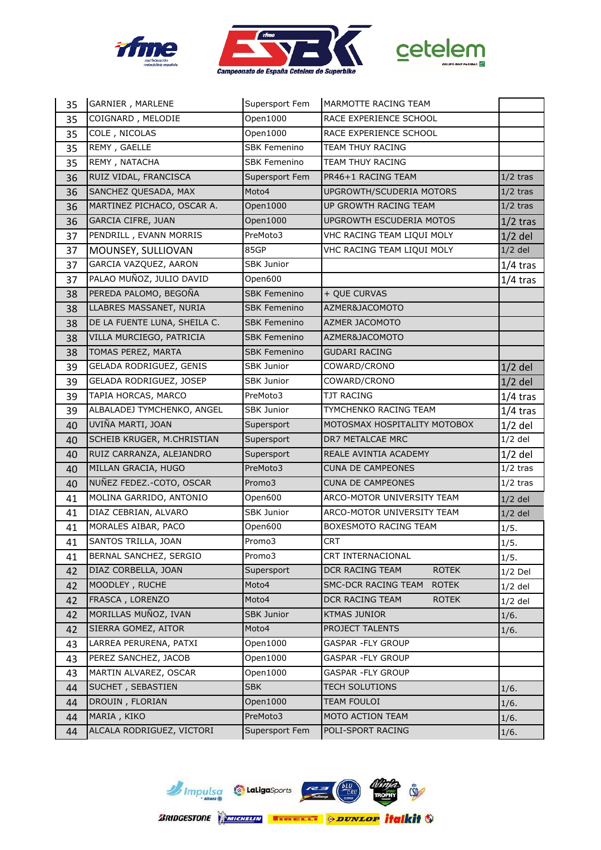





| 35 | GARNIER, MARLENE             | Supersport Fem      | MARMOTTE RACING TEAM                |            |
|----|------------------------------|---------------------|-------------------------------------|------------|
| 35 | COIGNARD, MELODIE            | Open1000            | RACE EXPERIENCE SCHOOL              |            |
| 35 | COLE, NICOLAS                | Open1000            | RACE EXPERIENCE SCHOOL              |            |
| 35 | REMY, GAELLE                 | <b>SBK Femenino</b> | TEAM THUY RACING                    |            |
| 35 | REMY, NATACHA                | <b>SBK Femenino</b> | TEAM THUY RACING                    |            |
| 36 | RUIZ VIDAL, FRANCISCA        | Supersport Fem      | PR46+1 RACING TEAM                  | $1/2$ tras |
| 36 | SANCHEZ QUESADA, MAX         | Moto4               | UPGROWTH/SCUDERIA MOTORS            | $1/2$ tras |
| 36 | MARTINEZ PICHACO, OSCAR A.   | Open1000            | UP GROWTH RACING TEAM               | $1/2$ tras |
| 36 | <b>GARCIA CIFRE, JUAN</b>    | Open1000            | <b>UPGROWTH ESCUDERIA MOTOS</b>     | $1/2$ tras |
| 37 | PENDRILL, EVANN MORRIS       | PreMoto3            | VHC RACING TEAM LIQUI MOLY          | $1/2$ del  |
| 37 | MOUNSEY, SULLIOVAN           | 85GP                | VHC RACING TEAM LIQUI MOLY          | $1/2$ del  |
| 37 | GARCIA VAZQUEZ, AARON        | <b>SBK Junior</b>   |                                     | $1/4$ tras |
| 37 | PALAO MUÑOZ, JULIO DAVID     | Open600             |                                     | $1/4$ tras |
| 38 | PEREDA PALOMO, BEGOÑA        | <b>SBK Femenino</b> | + QUE CURVAS                        |            |
| 38 | LLABRES MASSANET, NURIA      | <b>SBK Femenino</b> | AZMER&JACOMOTO                      |            |
| 38 | DE LA FUENTE LUNA, SHEILA C. | <b>SBK Femenino</b> | <b>AZMER JACOMOTO</b>               |            |
| 38 | VILLA MURCIEGO, PATRICIA     | <b>SBK Femenino</b> | AZMER&JACOMOTO                      |            |
| 38 | TOMAS PEREZ, MARTA           | <b>SBK Femenino</b> | <b>GUDARI RACING</b>                |            |
| 39 | GELADA RODRIGUEZ, GENIS      | <b>SBK Junior</b>   | COWARD/CRONO                        | $1/2$ del  |
| 39 | GELADA RODRIGUEZ, JOSEP      | <b>SBK Junior</b>   | COWARD/CRONO                        | $1/2$ del  |
| 39 | TAPIA HORCAS, MARCO          | PreMoto3            | <b>TJT RACING</b>                   | $1/4$ tras |
| 39 | ALBALADEJ TYMCHENKO, ANGEL   | SBK Junior          | TYMCHENKO RACING TEAM               | $1/4$ tras |
| 40 | UVIÑA MARTI, JOAN            | Supersport          | MOTOSMAX HOSPITALITY MOTOBOX        | $1/2$ del  |
| 40 | SCHEIB KRUGER, M.CHRISTIAN   | Supersport          | DR7 METALCAE MRC                    | $1/2$ del  |
| 40 | RUIZ CARRANZA, ALEJANDRO     | Supersport          | REALE AVINTIA ACADEMY               | $1/2$ del  |
| 40 | MILLAN GRACIA, HUGO          | PreMoto3            | <b>CUNA DE CAMPEONES</b>            | $1/2$ tras |
| 40 | NUÑEZ FEDEZ.-COTO, OSCAR     | Promo3              | <b>CUNA DE CAMPEONES</b>            | $1/2$ tras |
| 41 | MOLINA GARRIDO, ANTONIO      | Open600             | ARCO-MOTOR UNIVERSITY TEAM          | $1/2$ del  |
| 41 | DIAZ CEBRIAN, ALVARO         | <b>SBK Junior</b>   | ARCO-MOTOR UNIVERSITY TEAM          | $1/2$ del  |
| 41 | MORALES AIBAR, PACO          | Open600             | BOXESMOTO RACING TEAM               | 1/5.       |
| 41 | SANTOS TRILLA, JOAN          | Promo3              | <b>CRT</b>                          | 1/5.       |
| 41 | BERNAL SANCHEZ, SERGIO       | Promo3              | CRT INTERNACIONAL                   | 1/5.       |
| 42 | DIAZ CORBELLA, JOAN          | Supersport          | DCR RACING TEAM<br><b>ROTEK</b>     | $1/2$ Del  |
| 42 | MOODLEY, RUCHE               | Moto4               | SMC-DCR RACING TEAM<br><b>ROTEK</b> | $1/2$ del  |
| 42 | FRASCA, LORENZO              | Moto4               | DCR RACING TEAM<br><b>ROTEK</b>     | $1/2$ del  |
| 42 | MORILLAS MUÑOZ, IVAN         | <b>SBK Junior</b>   | <b>KTMAS JUNIOR</b>                 | 1/6.       |
| 42 | SIERRA GOMEZ, AITOR          | Moto4               | PROJECT TALENTS                     | 1/6.       |
| 43 | LARREA PERURENA, PATXI       | Open1000            | <b>GASPAR -FLY GROUP</b>            |            |
| 43 | PEREZ SANCHEZ, JACOB         | Open1000            | GASPAR - FLY GROUP                  |            |
| 43 | MARTIN ALVAREZ, OSCAR        | Open1000            | GASPAR -FLY GROUP                   |            |
| 44 | SUCHET, SEBASTIEN            | <b>SBK</b>          | TECH SOLUTIONS                      | 1/6.       |
| 44 | DROUIN, FLORIAN              | Open1000            | TEAM FOULOI                         | 1/6.       |
| 44 | MARIA, KIKO                  | PreMoto3            | MOTO ACTION TEAM                    | 1/6.       |
| 44 | ALCALA RODRIGUEZ, VICTORI    | Supersport Fem      | POLI-SPORT RACING                   | 1/6.       |